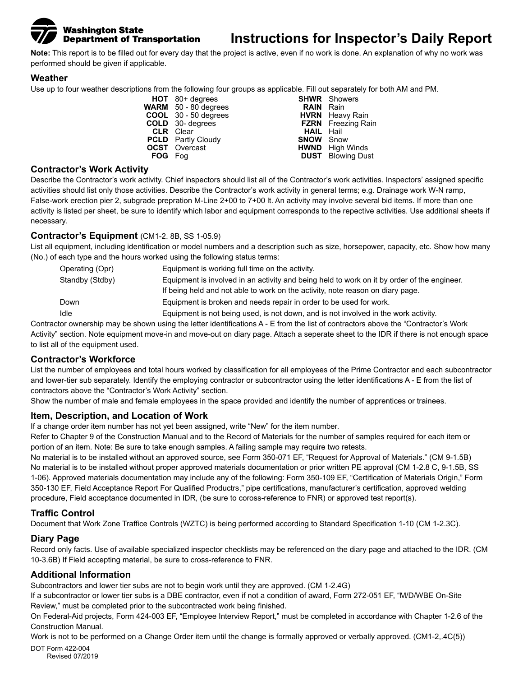### **Washington State Department of Transportation**

## **Instructions for Inspector's Daily Report**

**Note:** This report is to be filled out for every day that the project is active, even if no work is done. An explanation of why no work was performed should be given if applicable.

#### **Weather**

Use up to four weather descriptions from the following four groups as applicable. Fill out separately for both AM and PM.

**HOT** 80+ degrees **SHWR** Showers<br> **SHM** 50 - 80 degrees **SALIN** Rain **WARM** 50 - 80 degrees **RAIN** Rain<br> **COOL** 30 - 50 degrees **RAIN** HORN Heavy Rain **COOL** 30 - 50 degrees<br>**COLD** 30- degrees **FZRN** Freezing Rain<br>**HAIL** Hail **CLR** Clear **CLR** Clear **CLR** Clear **F** Clear **CLD** Partly Cloudy **PCLD** Partly Cloudy **OCST** Overcast **CST** Overcast **HWND** High Winds<br> **FOG** Fog **COLL CONT** Blowing Dust **DUST** Blowing Dust

#### **Contractor's Work Activity**

Describe the Contractor's work activity. Chief inspectors should list all of the Contractor's work activities. Inspectors' assigned specific activities should list only those activities. Describe the Contractor's work activity in general terms; e.g. Drainage work W-N ramp, False-work erection pier 2, subgrade prepration M-Line 2+00 to 7+00 lt. An activity may involve several bid items. If more than one activity is listed per sheet, be sure to identify which labor and equipment corresponds to the repective activities. Use additional sheets if necessary.

#### **Contractor's Equipment** (CM1-2. 8B, SS 1-05.9)

List all equipment, including identification or model numbers and a description such as size, horsepower, capacity, etc. Show how many (No.) of each type and the hours worked using the following status terms:

| Operating (Opr) | Equipment is working full time on the activity.                                                                                                                               |
|-----------------|-------------------------------------------------------------------------------------------------------------------------------------------------------------------------------|
| Standby (Stdby) | Equipment is involved in an activity and being held to work on it by order of the engineer.<br>If being held and not able to work on the activity, note reason on diary page. |
| Down            | Equipment is broken and needs repair in order to be used for work.                                                                                                            |
| Idle            | Equipment is not being used, is not down, and is not involved in the work activity.                                                                                           |

Contractor ownership may be shown using the letter identifications A - E from the list of contractors above the "Contractor's Work Activity" section. Note equipment move-in and move-out on diary page. Attach a seperate sheet to the IDR if there is not enough space to list all of the equipment used.

#### **Contractor's Workforce**

List the number of employees and total hours worked by classification for all employees of the Prime Contractor and each subcontractor and lower-tier sub separately. Identify the employing contractor or subcontractor using the letter identifications A - E from the list of contractors above the "Contractor's Work Activity" section.

Show the number of male and female employees in the space provided and identify the number of apprentices or trainees.

#### **Item, Description, and Location of Work**

If a change order item number has not yet been assigned, write "New" for the item number.

Refer to Chapter 9 of the Construction Manual and to the Record of Materials for the number of samples required for each item or portion of an item. Note: Be sure to take enough samples. A failing sample may require two retests.

No material is to be installed without an approved source, see Form 350-071 EF, "Request for Approval of Materials." (CM 9-1.5B) No material is to be installed without proper approved materials documentation or prior written PE approval (CM 1-2.8 C, 9-1.5B, SS 1-06). Approved materials documentation may include any of the following: Form 350-109 EF, "Certification of Materials Origin," Form 350-130 EF, Field Acceptance Report For Qualified Productrs," pipe certifications, manufacturer's certification, approved welding procedure, Field acceptance documented in IDR, (be sure to coross-reference to FNR) or approved test report(s).

#### **Traffic Control**

Document that Work Zone Traffice Controls (WZTC) is being performed according to Standard Specification 1-10 (CM 1-2.3C).

#### **Diary Page**

Record only facts. Use of available specialized inspector checklists may be referenced on the diary page and attached to the IDR. (CM 10-3.6B) If Field accepting material, be sure to cross-reference to FNR.

#### **Additional Information**

Subcontractors and lower tier subs are not to begin work until they are approved. (CM 1-2.4G)

If a subcontractor or lower tier subs is a DBE contractor, even if not a condition of award, Form 272-051 EF, "M/D/WBE On-Site Review," must be completed prior to the subcontracted work being finished.

On Federal-Aid projects, Form 424-003 EF, "Employee Interview Report," must be completed in accordance with Chapter 1-2.6 of the Construction Manual.

Work is not to be performed on a Change Order item until the change is formally approved or verbally approved. (CM1-2,.4C(5))

DOT Form 422-004 Revised 07/2019